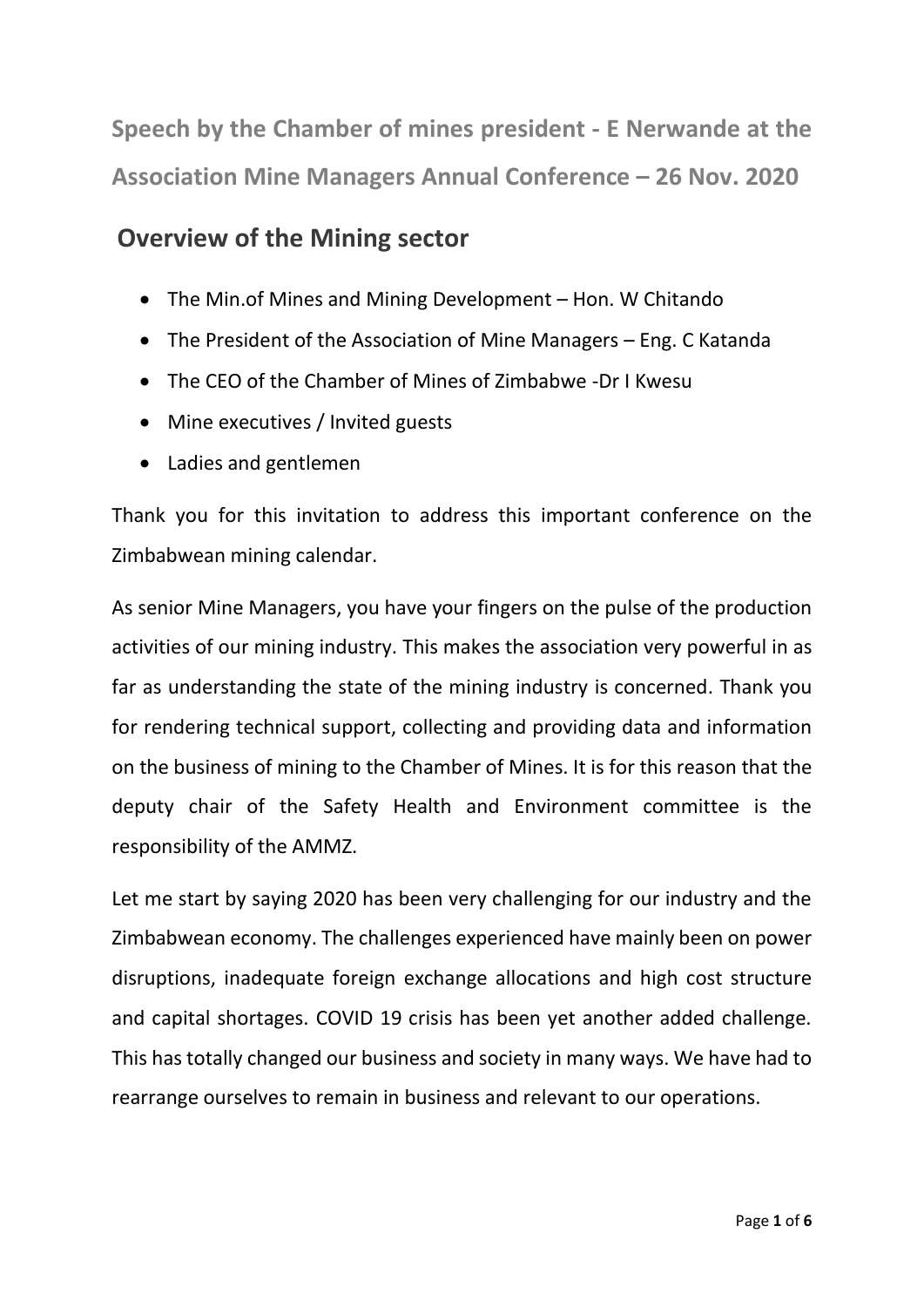**Speech by the Chamber of mines president - E Nerwande at the Association Mine Managers Annual Conference – 26 Nov. 2020**

# **Overview of the Mining sector**

- The Min.of Mines and Mining Development Hon. W Chitando
- The President of the Association of Mine Managers Eng. C Katanda
- The CEO of the Chamber of Mines of Zimbabwe -Dr I Kwesu
- Mine executives / Invited guests
- Ladies and gentlemen

Thank you for this invitation to address this important conference on the Zimbabwean mining calendar.

As senior Mine Managers, you have your fingers on the pulse of the production activities of our mining industry. This makes the association very powerful in as far as understanding the state of the mining industry is concerned. Thank you for rendering technical support, collecting and providing data and information on the business of mining to the Chamber of Mines. It is for this reason that the deputy chair of the Safety Health and Environment committee is the responsibility of the AMMZ.

Let me start by saying 2020 has been very challenging for our industry and the Zimbabwean economy. The challenges experienced have mainly been on power disruptions, inadequate foreign exchange allocations and high cost structure and capital shortages. COVID 19 crisis has been yet another added challenge. This has totally changed our business and society in many ways. We have had to rearrange ourselves to remain in business and relevant to our operations.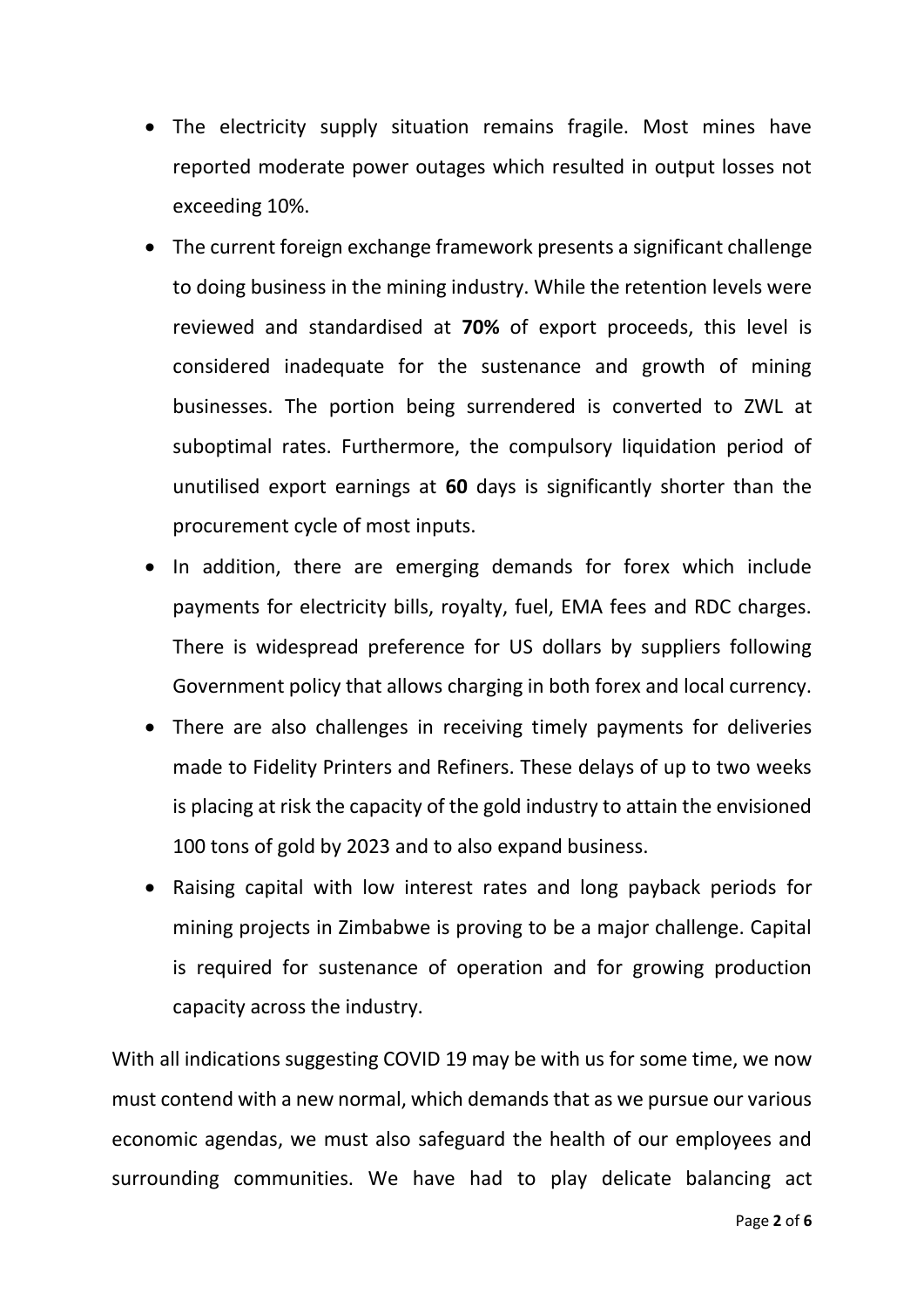- The electricity supply situation remains fragile. Most mines have reported moderate power outages which resulted in output losses not exceeding 10%.
- The current foreign exchange framework presents a significant challenge to doing business in the mining industry. While the retention levels were reviewed and standardised at **70%** of export proceeds, this level is considered inadequate for the sustenance and growth of mining businesses. The portion being surrendered is converted to ZWL at suboptimal rates. Furthermore, the compulsory liquidation period of unutilised export earnings at **60** days is significantly shorter than the procurement cycle of most inputs.
- In addition, there are emerging demands for forex which include payments for electricity bills, royalty, fuel, EMA fees and RDC charges. There is widespread preference for US dollars by suppliers following Government policy that allows charging in both forex and local currency.
- There are also challenges in receiving timely payments for deliveries made to Fidelity Printers and Refiners. These delays of up to two weeks is placing at risk the capacity of the gold industry to attain the envisioned 100 tons of gold by 2023 and to also expand business.
- Raising capital with low interest rates and long payback periods for mining projects in Zimbabwe is proving to be a major challenge. Capital is required for sustenance of operation and for growing production capacity across the industry.

With all indications suggesting COVID 19 may be with us for some time, we now must contend with a new normal, which demands that as we pursue our various economic agendas, we must also safeguard the health of our employees and surrounding communities. We have had to play delicate balancing act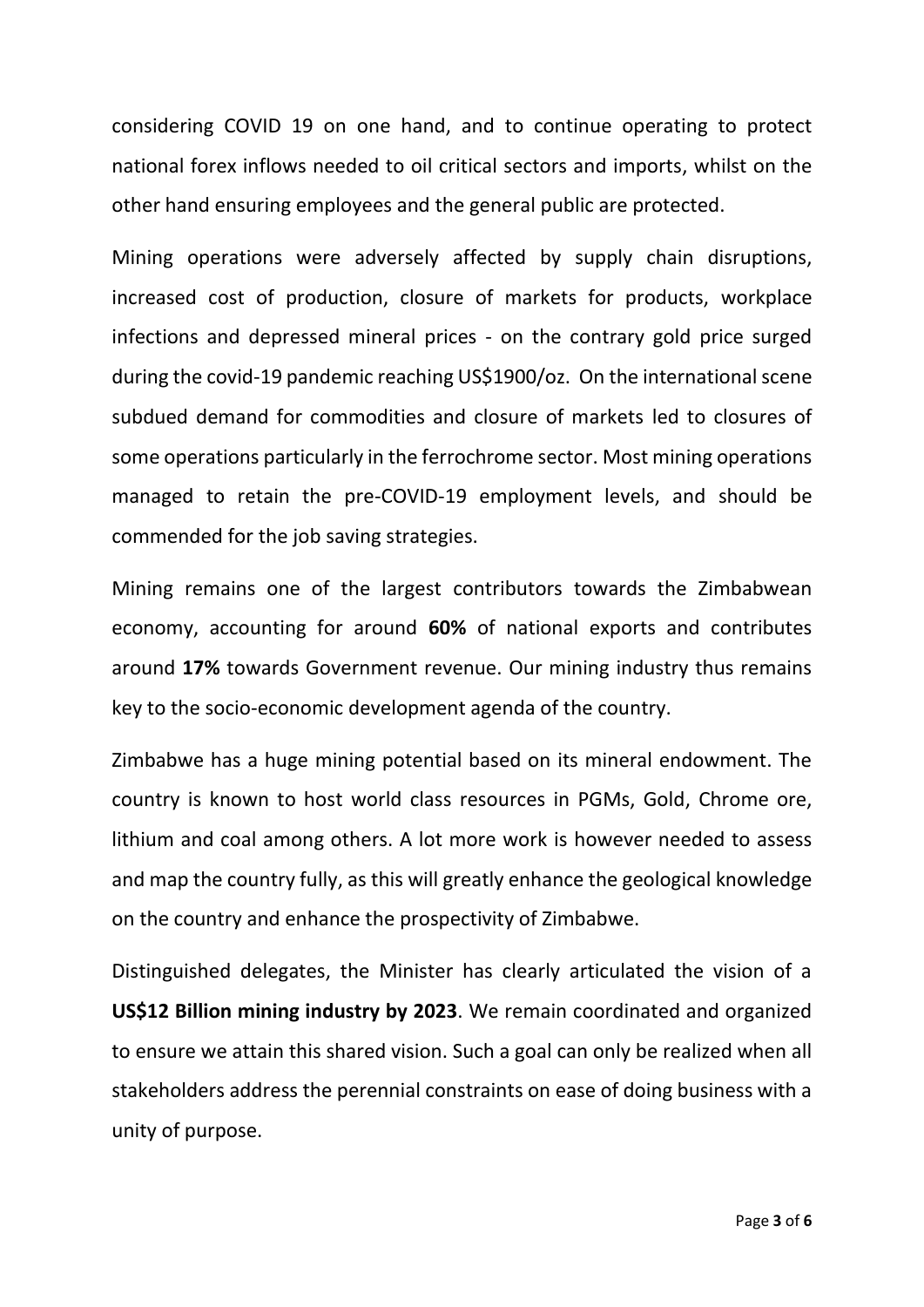considering COVID 19 on one hand, and to continue operating to protect national forex inflows needed to oil critical sectors and imports, whilst on the other hand ensuring employees and the general public are protected.

Mining operations were adversely affected by supply chain disruptions, increased cost of production, closure of markets for products, workplace infections and depressed mineral prices - on the contrary gold price surged during the covid-19 pandemic reaching US\$1900/oz. On the international scene subdued demand for commodities and closure of markets led to closures of some operations particularly in the ferrochrome sector. Most mining operations managed to retain the pre-COVID-19 employment levels, and should be commended for the job saving strategies.

Mining remains one of the largest contributors towards the Zimbabwean economy, accounting for around **60%** of national exports and contributes around **17%** towards Government revenue. Our mining industry thus remains key to the socio-economic development agenda of the country.

Zimbabwe has a huge mining potential based on its mineral endowment. The country is known to host world class resources in PGMs, Gold, Chrome ore, lithium and coal among others. A lot more work is however needed to assess and map the country fully, as this will greatly enhance the geological knowledge on the country and enhance the prospectivity of Zimbabwe.

Distinguished delegates, the Minister has clearly articulated the vision of a **US\$12 Billion mining industry by 2023**. We remain coordinated and organized to ensure we attain this shared vision. Such a goal can only be realized when all stakeholders address the perennial constraints on ease of doing business with a unity of purpose.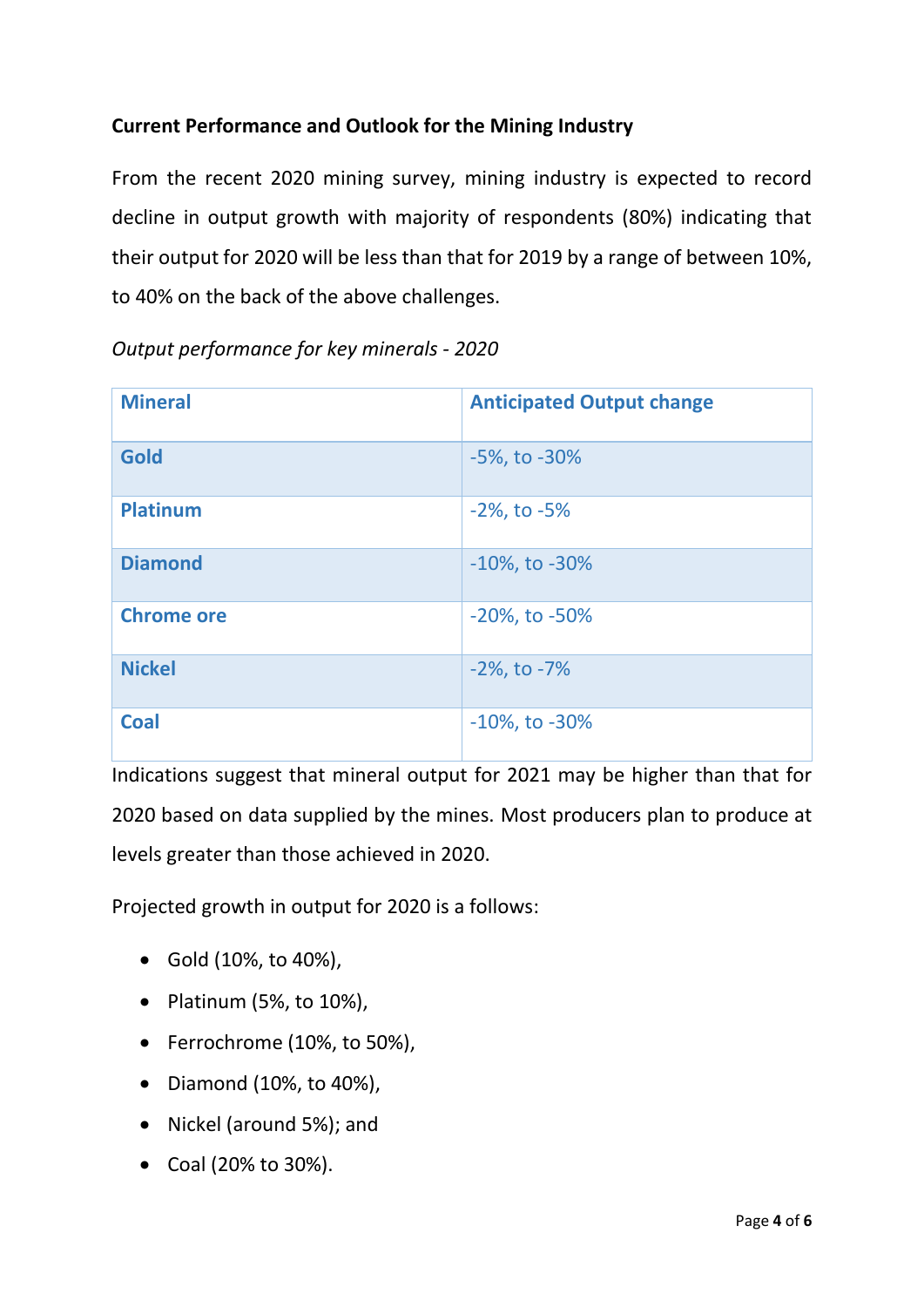# **Current Performance and Outlook for the Mining Industry**

From the recent 2020 mining survey, mining industry is expected to record decline in output growth with majority of respondents (80%) indicating that their output for 2020 will be less than that for 2019 by a range of between 10%, to 40% on the back of the above challenges.

| <b>Mineral</b>    | <b>Anticipated Output change</b> |
|-------------------|----------------------------------|
| <b>Gold</b>       | $-5\%$ , to $-30\%$              |
| <b>Platinum</b>   | $-2\%$ , to $-5\%$               |
| <b>Diamond</b>    | $-10\%$ , to $-30\%$             |
| <b>Chrome ore</b> | $-20\%$ , to $-50\%$             |
| <b>Nickel</b>     | $-2\%$ , to $-7\%$               |
| <b>Coal</b>       | $-10\%$ , to $-30\%$             |

*Output performance for key minerals - 2020*

Indications suggest that mineral output for 2021 may be higher than that for 2020 based on data supplied by the mines. Most producers plan to produce at levels greater than those achieved in 2020.

Projected growth in output for 2020 is a follows:

- Gold (10%, to 40%),
- Platinum (5%, to 10%),
- Ferrochrome (10%, to 50%),
- Diamond (10%, to 40%),
- Nickel (around 5%); and
- Coal (20% to 30%).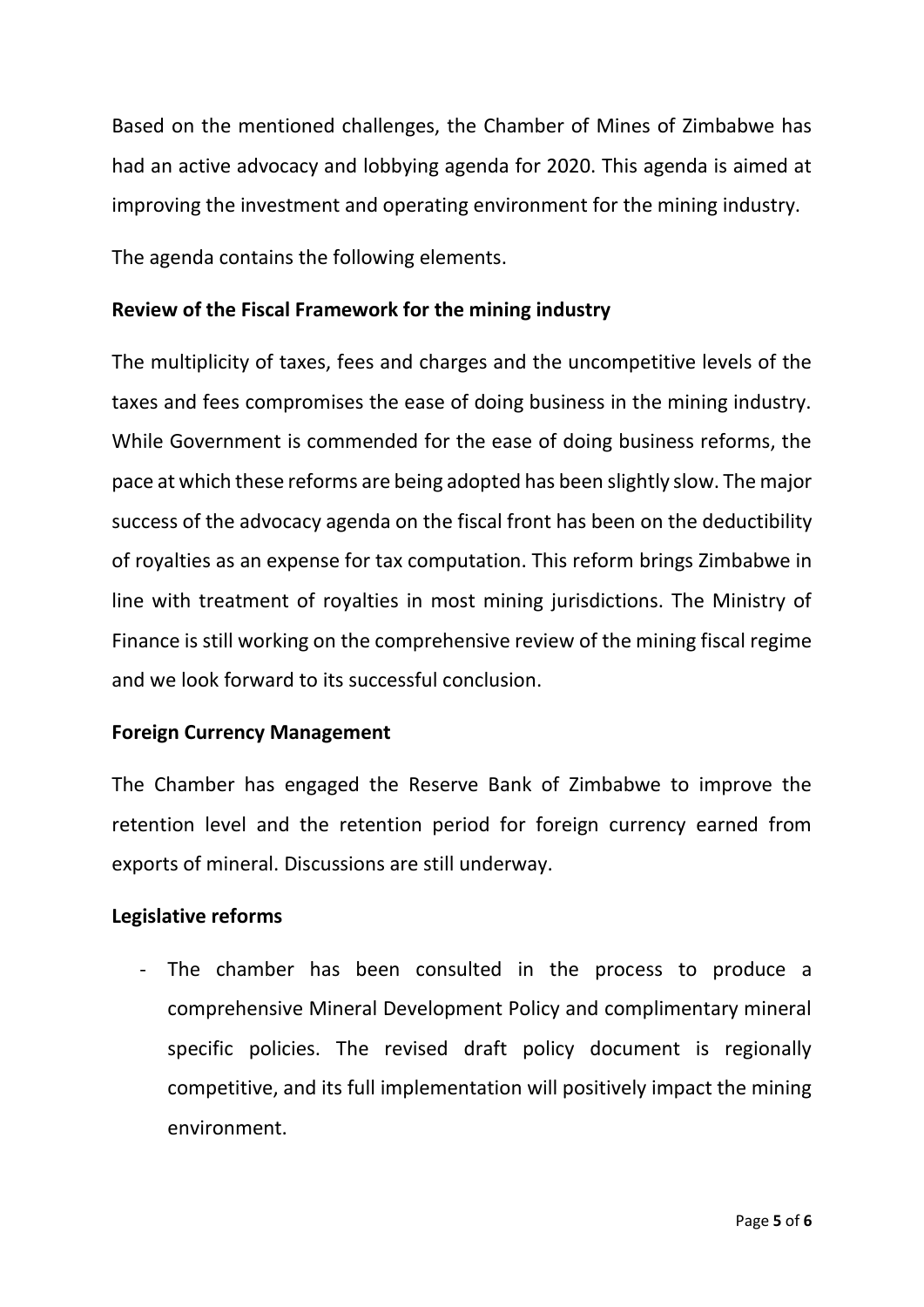Based on the mentioned challenges, the Chamber of Mines of Zimbabwe has had an active advocacy and lobbying agenda for 2020. This agenda is aimed at improving the investment and operating environment for the mining industry.

The agenda contains the following elements.

## **Review of the Fiscal Framework for the mining industry**

The multiplicity of taxes, fees and charges and the uncompetitive levels of the taxes and fees compromises the ease of doing business in the mining industry. While Government is commended for the ease of doing business reforms, the pace at which these reforms are being adopted has been slightly slow. The major success of the advocacy agenda on the fiscal front has been on the deductibility of royalties as an expense for tax computation. This reform brings Zimbabwe in line with treatment of royalties in most mining jurisdictions. The Ministry of Finance is still working on the comprehensive review of the mining fiscal regime and we look forward to its successful conclusion.

### **Foreign Currency Management**

The Chamber has engaged the Reserve Bank of Zimbabwe to improve the retention level and the retention period for foreign currency earned from exports of mineral. Discussions are still underway.

### **Legislative reforms**

- The chamber has been consulted in the process to produce a comprehensive Mineral Development Policy and complimentary mineral specific policies. The revised draft policy document is regionally competitive, and its full implementation will positively impact the mining environment.